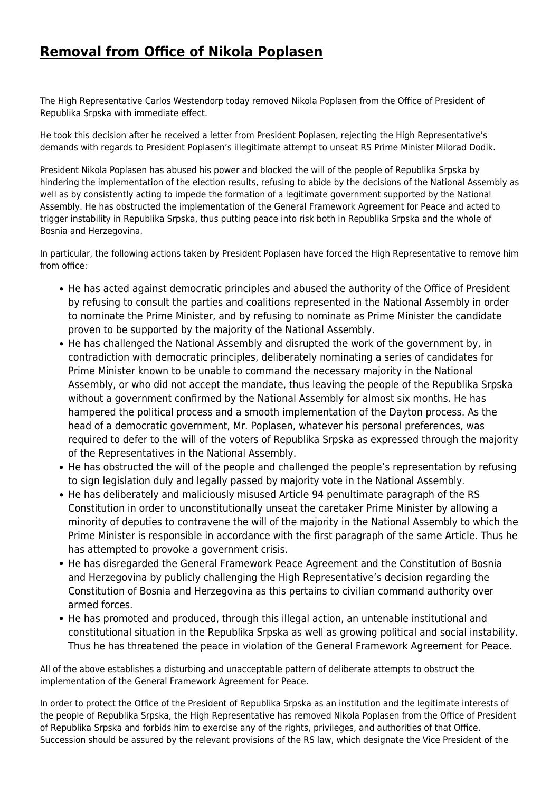## **[Removal from Office of Nikola Poplasen](http://www.ohr.int/removal-from-office-of-nikola-poplasen-2/)**

The High Representative Carlos Westendorp today removed Nikola Poplasen from the Office of President of Republika Srpska with immediate effect.

He took this decision after he received a letter from President Poplasen, rejecting the High Representative's demands with regards to President Poplasen's illegitimate attempt to unseat RS Prime Minister Milorad Dodik.

President Nikola Poplasen has abused his power and blocked the will of the people of Republika Srpska by hindering the implementation of the election results, refusing to abide by the decisions of the National Assembly as well as by consistently acting to impede the formation of a legitimate government supported by the National Assembly. He has obstructed the implementation of the General Framework Agreement for Peace and acted to trigger instability in Republika Srpska, thus putting peace into risk both in Republika Srpska and the whole of Bosnia and Herzegovina.

In particular, the following actions taken by President Poplasen have forced the High Representative to remove him from office:

- He has acted against democratic principles and abused the authority of the Office of President by refusing to consult the parties and coalitions represented in the National Assembly in order to nominate the Prime Minister, and by refusing to nominate as Prime Minister the candidate proven to be supported by the majority of the National Assembly.
- He has challenged the National Assembly and disrupted the work of the government by, in contradiction with democratic principles, deliberately nominating a series of candidates for Prime Minister known to be unable to command the necessary majority in the National Assembly, or who did not accept the mandate, thus leaving the people of the Republika Srpska without a government confirmed by the National Assembly for almost six months. He has hampered the political process and a smooth implementation of the Dayton process. As the head of a democratic government, Mr. Poplasen, whatever his personal preferences, was required to defer to the will of the voters of Republika Srpska as expressed through the majority of the Representatives in the National Assembly.
- He has obstructed the will of the people and challenged the people's representation by refusing to sign legislation duly and legally passed by majority vote in the National Assembly.
- He has deliberately and maliciously misused Article 94 penultimate paragraph of the RS Constitution in order to unconstitutionally unseat the caretaker Prime Minister by allowing a minority of deputies to contravene the will of the majority in the National Assembly to which the Prime Minister is responsible in accordance with the first paragraph of the same Article. Thus he has attempted to provoke a government crisis.
- He has disregarded the General Framework Peace Agreement and the Constitution of Bosnia and Herzegovina by publicly challenging the High Representative's decision regarding the Constitution of Bosnia and Herzegovina as this pertains to civilian command authority over armed forces.
- He has promoted and produced, through this illegal action, an untenable institutional and constitutional situation in the Republika Srpska as well as growing political and social instability. Thus he has threatened the peace in violation of the General Framework Agreement for Peace.

All of the above establishes a disturbing and unacceptable pattern of deliberate attempts to obstruct the implementation of the General Framework Agreement for Peace.

In order to protect the Office of the President of Republika Srpska as an institution and the legitimate interests of the people of Republika Srpska, the High Representative has removed Nikola Poplasen from the Office of President of Republika Srpska and forbids him to exercise any of the rights, privileges, and authorities of that Office. Succession should be assured by the relevant provisions of the RS law, which designate the Vice President of the